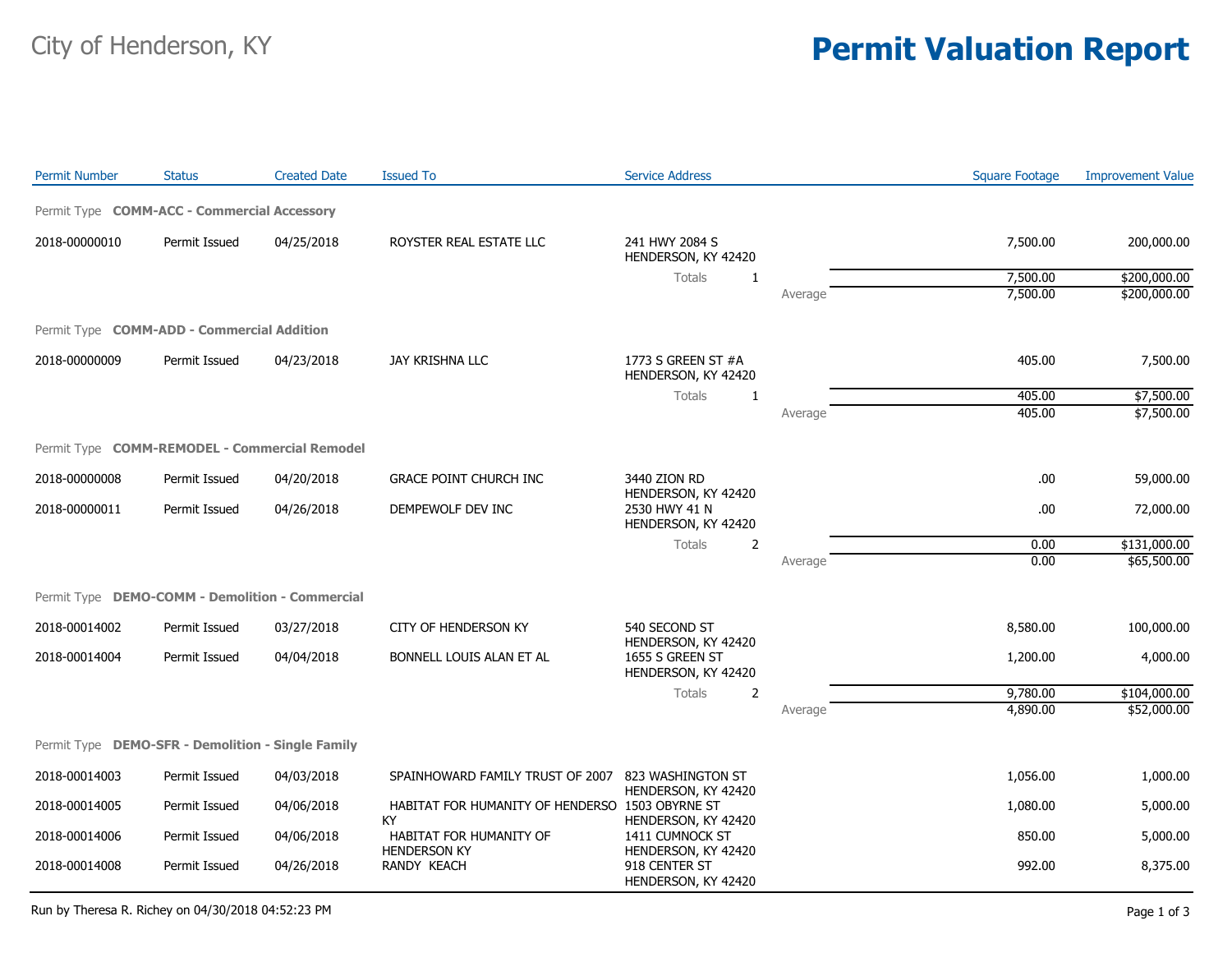## City of Henderson, KY **Permit Valuation Report**

| <b>Permit Number</b>                              | <b>Status</b> | <b>Created Date</b> | <b>Issued To</b>                                      | <b>Service Address</b>                                        |         | <b>Square Footage</b> | <b>Improvement Value</b> |
|---------------------------------------------------|---------------|---------------------|-------------------------------------------------------|---------------------------------------------------------------|---------|-----------------------|--------------------------|
| Permit Type COMM-ACC - Commercial Accessory       |               |                     |                                                       |                                                               |         |                       |                          |
| 2018-00000010                                     | Permit Issued | 04/25/2018          | ROYSTER REAL ESTATE LLC                               | 241 HWY 2084 S<br>HENDERSON, KY 42420                         |         | 7,500.00              | 200,000.00               |
|                                                   |               |                     |                                                       | Totals<br>$\mathbf{1}$                                        |         | 7,500.00              | \$200,000.00             |
|                                                   |               |                     |                                                       |                                                               | Average | 7,500.00              | \$200,000.00             |
| Permit Type COMM-ADD - Commercial Addition        |               |                     |                                                       |                                                               |         |                       |                          |
| 2018-00000009                                     | Permit Issued | 04/23/2018          | JAY KRISHNA LLC                                       | 1773 S GREEN ST #A<br>HENDERSON, KY 42420                     |         | 405.00                | 7,500.00                 |
|                                                   |               |                     |                                                       | <b>Totals</b><br>$\mathbf{1}$                                 |         | 405.00                | \$7,500.00               |
|                                                   |               |                     |                                                       |                                                               | Average | 405.00                | \$7,500.00               |
| Permit Type COMM-REMODEL - Commercial Remodel     |               |                     |                                                       |                                                               |         |                       |                          |
| 2018-00000008                                     | Permit Issued | 04/20/2018          | <b>GRACE POINT CHURCH INC</b>                         | 3440 ZION RD                                                  |         | .00                   | 59,000.00                |
| 2018-00000011                                     | Permit Issued | 04/26/2018          | DEMPEWOLF DEV INC                                     | HENDERSON, KY 42420<br>2530 HWY 41 N<br>HENDERSON, KY 42420   |         | .00                   | 72,000.00                |
|                                                   |               |                     |                                                       | Totals<br>2                                                   |         | 0.00                  | \$131,000.00             |
|                                                   |               |                     |                                                       |                                                               | Average | 0.00                  | \$65,500.00              |
| Permit Type DEMO-COMM - Demolition - Commercial   |               |                     |                                                       |                                                               |         |                       |                          |
| 2018-00014002                                     | Permit Issued | 03/27/2018          | <b>CITY OF HENDERSON KY</b>                           | 540 SECOND ST                                                 |         | 8,580.00              | 100,000.00               |
| 2018-00014004                                     | Permit Issued | 04/04/2018          | BONNELL LOUIS ALAN ET AL                              | HENDERSON, KY 42420<br>1655 S GREEN ST<br>HENDERSON, KY 42420 |         | 1,200.00              | 4,000.00                 |
|                                                   |               |                     |                                                       | Totals<br>2                                                   |         | 9,780.00              | \$104,000.00             |
|                                                   |               |                     |                                                       |                                                               | Average | 4,890.00              | \$52,000.00              |
| Permit Type DEMO-SFR - Demolition - Single Family |               |                     |                                                       |                                                               |         |                       |                          |
| 2018-00014003                                     | Permit Issued | 04/03/2018          | SPAINHOWARD FAMILY TRUST OF 2007                      | 823 WASHINGTON ST                                             |         | 1,056.00              | 1,000.00                 |
| 2018-00014005                                     | Permit Issued | 04/06/2018          | HABITAT FOR HUMANITY OF HENDERSO 1503 OBYRNE ST<br>KY | HENDERSON, KY 42420<br>HENDERSON, KY 42420                    |         | 1,080.00              | 5,000.00                 |
| 2018-00014006                                     | Permit Issued | 04/06/2018          | HABITAT FOR HUMANITY OF<br><b>HENDERSON KY</b>        | 1411 CUMNOCK ST<br>HENDERSON, KY 42420                        |         | 850.00                | 5,000.00                 |
| 2018-00014008                                     | Permit Issued | 04/26/2018          | RANDY KEACH                                           | 918 CENTER ST<br>HENDERSON, KY 42420                          |         | 992.00                | 8,375.00                 |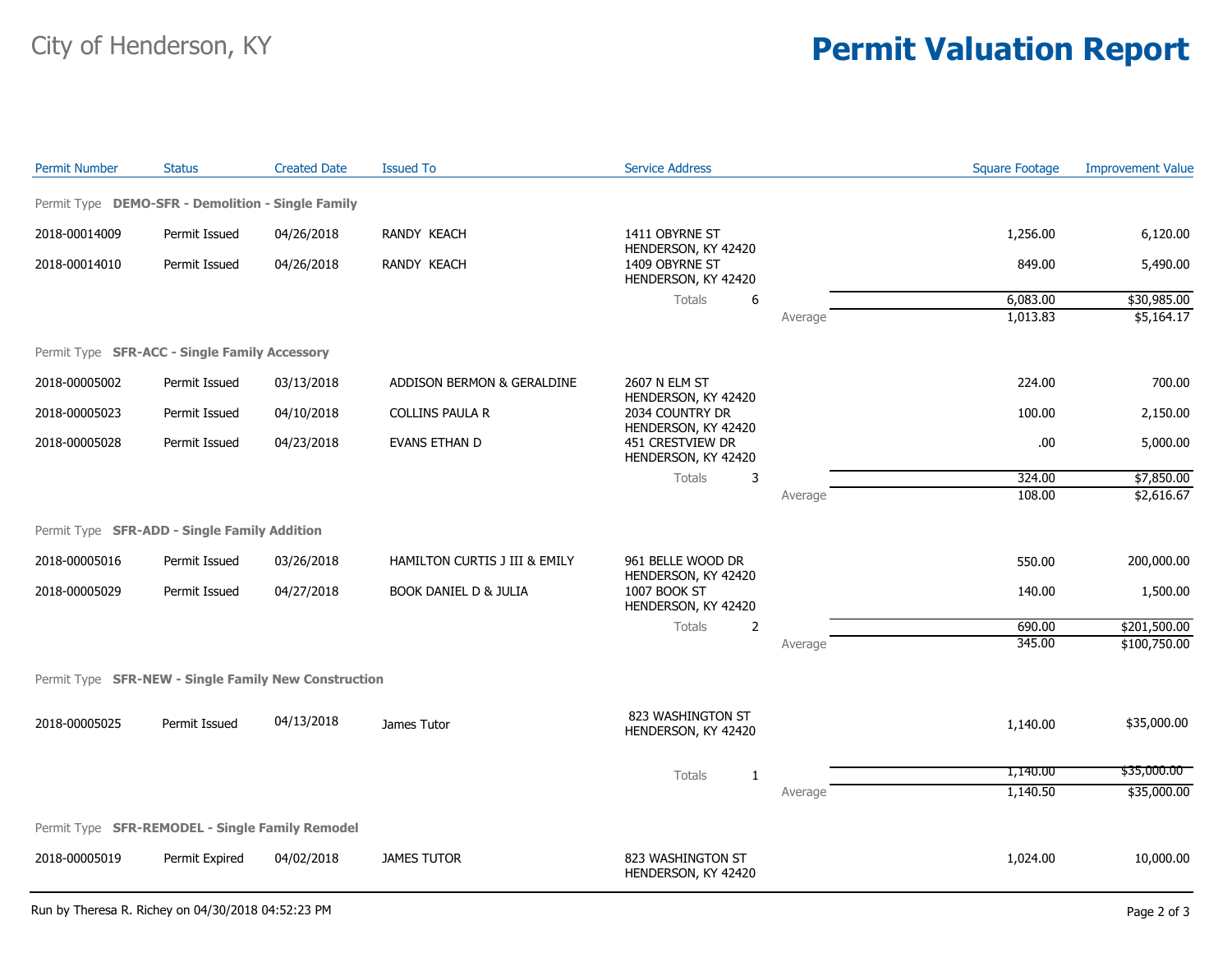## City of Henderson, KY **Permit Valuation Report**

| <b>Permit Number</b>                                 | <b>Status</b>  | <b>Created Date</b> | <b>Issued To</b>                 | <b>Service Address</b>                                        |         | <b>Square Footage</b> | <b>Improvement Value</b> |
|------------------------------------------------------|----------------|---------------------|----------------------------------|---------------------------------------------------------------|---------|-----------------------|--------------------------|
| Permit Type DEMO-SFR - Demolition - Single Family    |                |                     |                                  |                                                               |         |                       |                          |
| 2018-00014009                                        | Permit Issued  | 04/26/2018          | RANDY KEACH                      | 1411 OBYRNE ST                                                |         | 1,256.00              | 6,120.00                 |
| 2018-00014010                                        | Permit Issued  | 04/26/2018          | RANDY KEACH                      | HENDERSON, KY 42420<br>1409 OBYRNE ST<br>HENDERSON, KY 42420  |         | 849.00                | 5,490.00                 |
|                                                      |                |                     |                                  | $\boldsymbol{6}$<br><b>Totals</b>                             |         | 6,083.00              | \$30,985.00              |
|                                                      |                |                     |                                  |                                                               | Average | 1,013.83              | \$5,164.17               |
| Permit Type SFR-ACC - Single Family Accessory        |                |                     |                                  |                                                               |         |                       |                          |
| 2018-00005002                                        | Permit Issued  | 03/13/2018          | ADDISON BERMON & GERALDINE       | 2607 N ELM ST                                                 |         | 224.00                | 700.00                   |
| 2018-00005023                                        | Permit Issued  | 04/10/2018          | <b>COLLINS PAULA R</b>           | HENDERSON, KY 42420<br>2034 COUNTRY DR<br>HENDERSON, KY 42420 |         | 100.00                | 2,150.00                 |
| 2018-00005028                                        | Permit Issued  | 04/23/2018          | EVANS ETHAN D                    | 451 CRESTVIEW DR<br>HENDERSON, KY 42420                       |         | .00.                  | 5,000.00                 |
|                                                      |                |                     |                                  | Totals<br>3                                                   |         | 324.00                | \$7,850.00               |
|                                                      |                |                     |                                  |                                                               | Average | 108.00                | \$2,616.67               |
| Permit Type SFR-ADD - Single Family Addition         |                |                     |                                  |                                                               |         |                       |                          |
| 2018-00005016                                        | Permit Issued  | 03/26/2018          | HAMILTON CURTIS J III & EMILY    | 961 BELLE WOOD DR<br>HENDERSON, KY 42420                      |         | 550.00                | 200,000.00               |
| 2018-00005029                                        | Permit Issued  | 04/27/2018          | <b>BOOK DANIEL D &amp; JULIA</b> | 1007 BOOK ST<br>HENDERSON, KY 42420                           |         | 140.00                | 1,500.00                 |
|                                                      |                |                     |                                  | Totals<br>$\overline{2}$                                      |         | 690.00                | \$201,500.00             |
|                                                      |                |                     |                                  |                                                               | Average | 345.00                | \$100,750.00             |
| Permit Type SFR-NEW - Single Family New Construction |                |                     |                                  |                                                               |         |                       |                          |
| 2018-00005025                                        | Permit Issued  | 04/13/2018          | James Tutor                      | 823 WASHINGTON ST<br>HENDERSON, KY 42420                      |         | 1,140.00              | \$35,000.00              |
|                                                      |                |                     |                                  | Totals<br>1                                                   |         | 1,140.00              | \$35,000.00              |
|                                                      |                |                     |                                  |                                                               | Average | 1,140.50              | \$35,000.00              |
| Permit Type SFR-REMODEL - Single Family Remodel      |                |                     |                                  |                                                               |         |                       |                          |
| 2018-00005019                                        | Permit Expired | 04/02/2018          | <b>JAMES TUTOR</b>               | 823 WASHINGTON ST<br>HENDERSON, KY 42420                      |         | 1,024.00              | 10,000.00                |